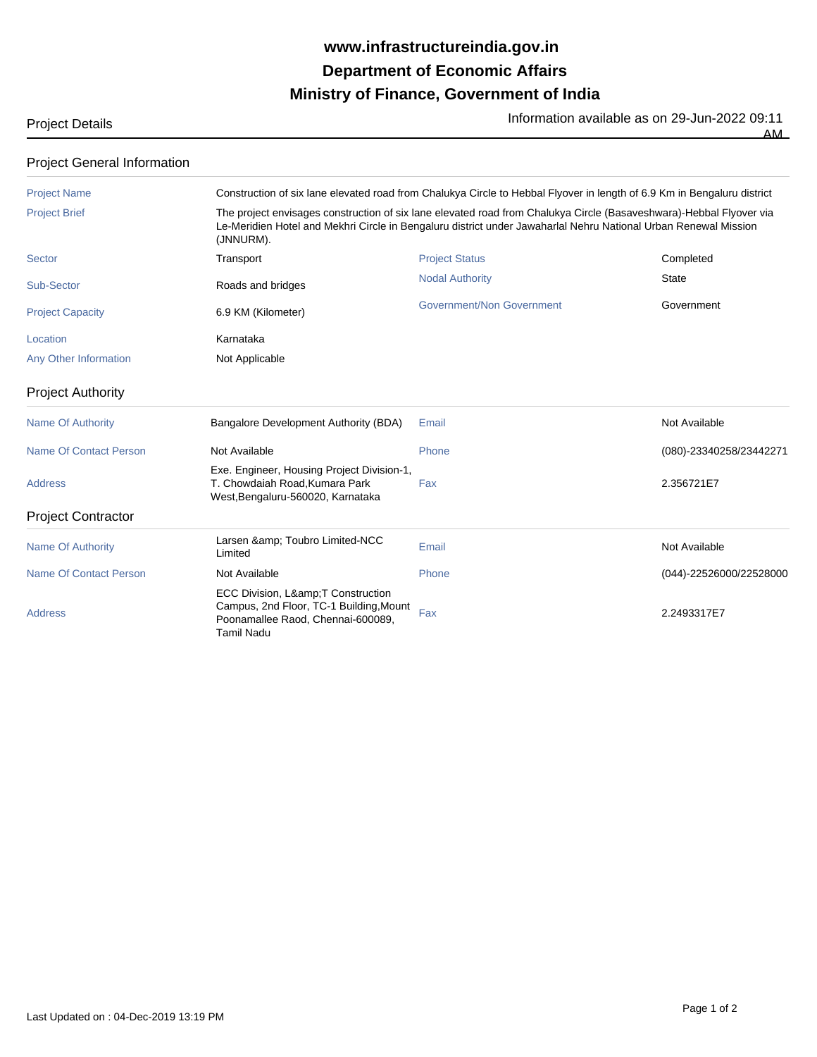## **Ministry of Finance, Government of India Department of Economic Affairs www.infrastructureindia.gov.in**

Project Details<br>
<u>Information available as on 29-Jun-2022 09:11</u><br>
AM

| . . | - | ۰. |
|-----|---|----|

## Project General Information

| <b>Project Name</b>           |                                                                                                                                      | Construction of six lane elevated road from Chalukya Circle to Hebbal Flyover in length of 6.9 Km in Bengaluru district                                                                                                                |                         |  |  |  |
|-------------------------------|--------------------------------------------------------------------------------------------------------------------------------------|----------------------------------------------------------------------------------------------------------------------------------------------------------------------------------------------------------------------------------------|-------------------------|--|--|--|
| <b>Project Brief</b>          | (JNNURM).                                                                                                                            | The project envisages construction of six lane elevated road from Chalukya Circle (Basaveshwara)-Hebbal Flyover via<br>Le-Meridien Hotel and Mekhri Circle in Bengaluru district under Jawaharlal Nehru National Urban Renewal Mission |                         |  |  |  |
| <b>Sector</b>                 | Transport                                                                                                                            | <b>Project Status</b>                                                                                                                                                                                                                  | Completed               |  |  |  |
| Sub-Sector                    | Roads and bridges                                                                                                                    | <b>Nodal Authority</b>                                                                                                                                                                                                                 | <b>State</b>            |  |  |  |
| <b>Project Capacity</b>       | 6.9 KM (Kilometer)                                                                                                                   | <b>Government/Non Government</b>                                                                                                                                                                                                       | Government              |  |  |  |
| Location                      | Karnataka                                                                                                                            |                                                                                                                                                                                                                                        |                         |  |  |  |
| Any Other Information         | Not Applicable                                                                                                                       |                                                                                                                                                                                                                                        |                         |  |  |  |
| <b>Project Authority</b>      |                                                                                                                                      |                                                                                                                                                                                                                                        |                         |  |  |  |
| <b>Name Of Authority</b>      | Bangalore Development Authority (BDA)                                                                                                | Email                                                                                                                                                                                                                                  | Not Available           |  |  |  |
| <b>Name Of Contact Person</b> | Not Available                                                                                                                        | Phone                                                                                                                                                                                                                                  | (080)-23340258/23442271 |  |  |  |
| <b>Address</b>                | Exe. Engineer, Housing Project Division-1,<br>T. Chowdaiah Road. Kumara Park<br>West, Bengaluru-560020, Karnataka                    | Fax                                                                                                                                                                                                                                    | 2.356721E7              |  |  |  |
| <b>Project Contractor</b>     |                                                                                                                                      |                                                                                                                                                                                                                                        |                         |  |  |  |
| <b>Name Of Authority</b>      | Larsen & Toubro Limited-NCC<br>Limited                                                                                               | Email                                                                                                                                                                                                                                  | Not Available           |  |  |  |
| <b>Name Of Contact Person</b> | Not Available                                                                                                                        | Phone                                                                                                                                                                                                                                  | (044)-22526000/22528000 |  |  |  |
| <b>Address</b>                | ECC Division, L& T Construction<br>Campus, 2nd Floor, TC-1 Building, Mount<br>Poonamallee Raod, Chennai-600089,<br><b>Tamil Nadu</b> | Fax                                                                                                                                                                                                                                    | 2.2493317E7             |  |  |  |